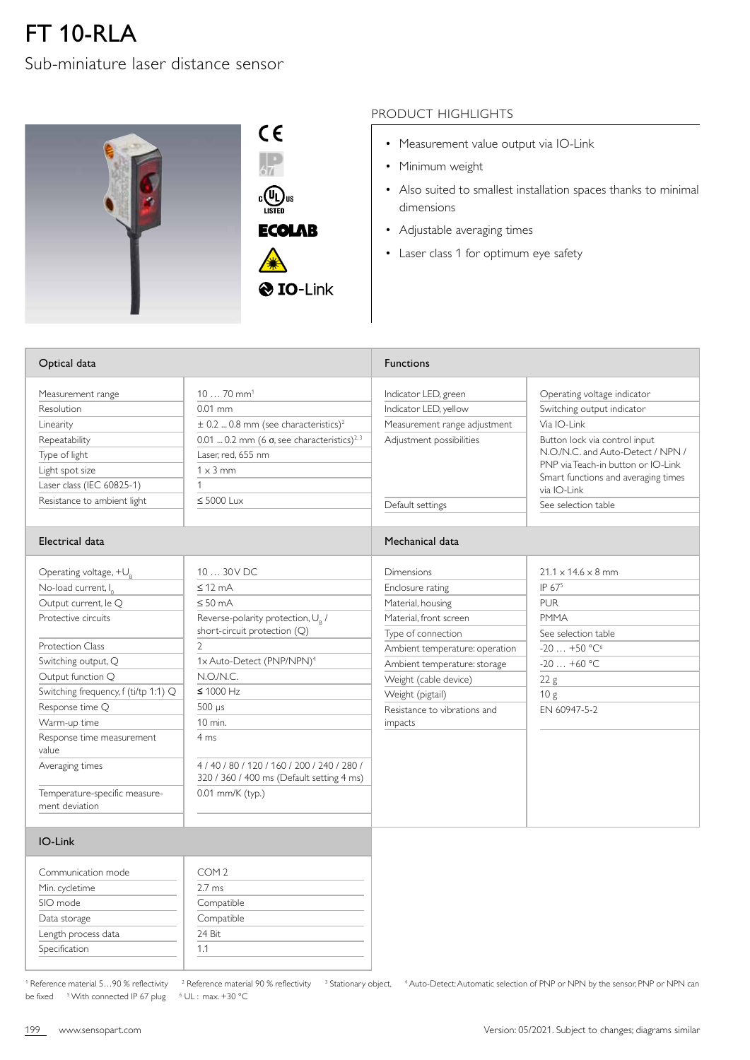## FT 10-RLA

## Sub-miniature laser distance sensor



## PRODUCT HIGHLIGHTS

- Measurement value output via IO-Link
- Minimum weight
- Also suited to smallest installation spaces thanks to minimal dimensions
- Adjustable averaging times
- Laser class 1 for optimum eye safety

| Optical data                                                                                                                                                                                                                                                                                                                                                              |                                                                                                                                                                                                                                                                                                                                                         | <b>Functions</b>                                                                                                                                                                                                                                                     |                                                                                                                                                                                                                                                                   |  |
|---------------------------------------------------------------------------------------------------------------------------------------------------------------------------------------------------------------------------------------------------------------------------------------------------------------------------------------------------------------------------|---------------------------------------------------------------------------------------------------------------------------------------------------------------------------------------------------------------------------------------------------------------------------------------------------------------------------------------------------------|----------------------------------------------------------------------------------------------------------------------------------------------------------------------------------------------------------------------------------------------------------------------|-------------------------------------------------------------------------------------------------------------------------------------------------------------------------------------------------------------------------------------------------------------------|--|
| Measurement range<br>Resolution<br>Linearity<br>Repeatability<br>Type of light<br>Light spot size<br>Laser class (IEC 60825-1)<br>Resistance to ambient light                                                                                                                                                                                                             | $1070$ mm <sup>1</sup><br>$0.01$ mm<br>$\pm$ 0.2  0.8 mm (see characteristics) <sup>2</sup><br>0.01  0.2 mm (6 $\sigma$ , see characteristics) <sup>2,3</sup><br>Laser. red. 655 nm<br>$1 \times 3$ mm<br>1<br>$\leq 5000$ lux                                                                                                                          | Indicator LED, green<br>Indicator LED, yellow<br>Measurement range adjustment<br>Adjustment possibilities<br>Default settings                                                                                                                                        | Operating voltage indicator<br>Switching output indicator<br>Via IO-Link<br>Button lock via control input<br>N.O./N.C. and Auto-Detect / NPN /<br>PNP via Teach-in button or IO-Link<br>Smart functions and averaging times<br>via IO-Link<br>See selection table |  |
| Electrical data                                                                                                                                                                                                                                                                                                                                                           |                                                                                                                                                                                                                                                                                                                                                         | Mechanical data                                                                                                                                                                                                                                                      |                                                                                                                                                                                                                                                                   |  |
| Operating voltage, $+U_R$<br>No-load current, I <sub>o</sub><br>Output current, le Q<br>Protective circuits<br><b>Protection Class</b><br>Switching output, Q<br>Output function Q<br>Switching frequency, f (ti/tp 1:1) Q<br>Response time Q<br>Warm-up time<br>Response time measurement<br>value<br>Averaging times<br>Temperature-specific measure-<br>ment deviation | 10  30 V DC<br>$\leq$ 12 mA<br>$\leq 50$ mA<br>Reverse-polarity protection, U <sub>R</sub> /<br>short-circuit protection (Q)<br>$\mathcal{P}$<br>1x Auto-Detect (PNP/NPN) <sup>4</sup><br>N.O/N.C.<br>$\leq 1000$ Hz<br>$500 \mu s$<br>10 min.<br>4 ms<br>4/40/80/120/160/200/240/280/<br>320 / 360 / 400 ms (Default setting 4 ms)<br>0.01 mm/K (typ.) | <b>Dimensions</b><br>Enclosure rating<br>Material, housing<br>Material, front screen<br>Type of connection<br>Ambient temperature: operation<br>Ambient temperature: storage<br>Weight (cable device)<br>Weight (pigtail)<br>Resistance to vibrations and<br>impacts | $21.1 \times 14.6 \times 8$ mm<br>IP 675<br><b>PUR</b><br><b>PMMA</b><br>See selection table<br>$-20+50 °C^6$<br>$-20+60$ °C<br>22 g<br>10g<br>EN 60947-5-2                                                                                                       |  |
| IO-Link                                                                                                                                                                                                                                                                                                                                                                   |                                                                                                                                                                                                                                                                                                                                                         |                                                                                                                                                                                                                                                                      |                                                                                                                                                                                                                                                                   |  |

| COM <sub>2</sub> |
|------------------|
| $2.7 \text{ ms}$ |
| Compatible       |
| Compatible       |
| 24 Bit           |
| 11               |
|                  |

<sup>1</sup> Reference material  $5...90$  % reflectivity  $3$ be fixed <sup>5</sup> With connected IP 67 plug <sup>6</sup>

UL : max. +30 °C

Reference material 90 % reflectivity <sup>3</sup> Stationary object, <sup>4</sup> Auto-Detect: Automatic selection of PNP or NPN by the sensor, PNP or NPN can